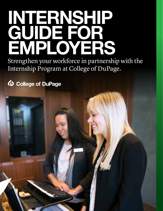## **INTERNSHIP GUIDE FOR EMPLOYERS**

Strengthen your workforce in partnership with the Internship Program at College of DuPage.

**D** College of DuPage

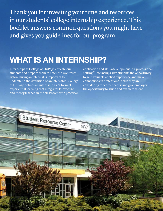Thank you for investing your time and resources in our students' college internship experience. This booklet answers common questions you might have and gives you guidelines for our program.

## **WHAT IS AN INTERNSHIP?**

Internships at College of DuPage educate our students and prepare them to enter the workforce. Before hiring an intern, it is important to understand the definition of an internship. College of DuPage defines an internship as "a form of experiential learning that integrates knowledge and theory learned in the classroom with practical

application and skills development in a professional setting." Internships give students the opportunity to gain valuable applied experience and make connections in professional fields they are considering for career paths; and give employers the opportunity to guide and evaluate talent.

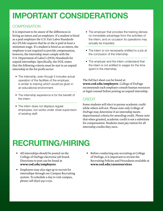## **IMPORTANT CONSIDERATIONS**

#### **COMPENSATION**

It is important to be aware of the differences in hiring an intern and an employee. If a student is hired as a paid employee the U.S. Fair Labor Standards Act (FLSA) requires that he or she is paid at least a minimum wage. If a student is hired as an intern, the employer is not required to provide compensation, however, the internship must comply with the U.S. Department of Labor's (DOL) Standards for unpaid internships. Specifically, the DOL states that the following criteria must be met in an unpaid internship in the for-profit sector:

- The internship, even though it includes actual operation of the facilities of the employer, is similar to training which would be given in an educational environment.
- The internship experience is for the benefit of the intern.
- The intern does not displace regular employees, but works under close supervision of existing staff.
- The employer that provides the training derives no immediate advantage from the activities of the intern; and on occasion its operations may actually be impeded.
- The intern is not necessarily entitled to a job at the conclusion of the internship.
- The employer and the intern understand that the intern is not entitled to wages for the time spent in the internship.

The full fact sheet can be found at: **www.cod.edu/employers**. College of DuPage recommends each employer consult human resources or legal counsel before posting an unpaid internship.

#### **CREDIT**

Some students will elect to pursue academic credit while others will not. Please note only College of DuPage may determine if an internship meets departmental criteria for awarding credit. Please note that when granted, academic credit is not a substitute for compensation. Students must pay tuition for all internship credits they earn.

## **RECRUITING/HIRING**

- All internships should be posted on the College of DuPage electronic job board. Directions to post can be found at **www.cod.edu/employers**.
- Employers may also sign up to recruit for internships through our Campus Recruiting system. To schedule a day to visit campus, please call (630) 942-2230.
- Before conducting any recruiting at College of DuPage, it is important to review the Recruiting Policies and Procedures available at **www.cod.edu/careerservices**.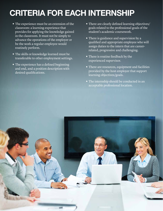## **CRITERIA FOR EACH INTERNSHIP**

- The experience must be an extension of the classroom: a learning experience that provides for applying the knowledge gained in the classroom. It must not be simply to advance the operations of the employer or be the work a regular employee would routinely perform.
- The skills or knowledge learned must be transferable to other employment settings.
- The experience has a defined beginning and end, and a position description with desired qualifications.
- There are clearly defined learning objectives/ goals related to the professional goals of the student's academic coursework.
- There is guidance and supervision by a qualified and appropriate employee who will assign duties to the intern that are career related, progressive and challenging.
- There is routine feedback by the experienced supervisor.
- There are resources, equipment and facilities provided by the host employer that support learning objectives/goals.
- The internship should be conducted in an acceptable professional location.

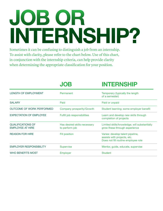# JOB OR INTERNSHIP?

Sometimes it can be confusing to distinguish a job from an internship. To assist with clarity, please refer to the chart below. Use of this chart, in conjunction with the internship criteria, can help provide clarity when determining the appropriate classification for your position.

|                                                     | <b>JOB</b>                                     | <b>INTERNSHIP</b>                                                                                      |
|-----------------------------------------------------|------------------------------------------------|--------------------------------------------------------------------------------------------------------|
| <b>LENGTH OF EMPLOYMENT</b>                         | Permanent                                      | Temporary (typically the length<br>of a semester)                                                      |
| <b>SALARY</b>                                       | Paid                                           | Paid or unpaid                                                                                         |
| OUTCOME OF WORK PERFORMED                           | Company prosperity/Growth                      | Student learning; some employer benefit                                                                |
| <b>EXPECTATION OF EMPLOYEE</b>                      | Fulfill job responsibilities                   | Learn and develop new skills through<br>completion of projects                                         |
| <b>QUALIFICATIONS OF</b><br><b>EMPLOYEE AT HIRE</b> | Has desired skills necessary<br>to perform job | Limited skills/knowledge; will substantially<br>grow these through experience                          |
| <b>REASON FOR HIRE</b>                              | <b>Fill position</b>                           | Varies: develop talent pipeline,<br>assists with projects, etc.<br>Does not fill routine employee role |
| <b>EMPLOYER RESPONSIBILITY</b>                      | <b>Supervise</b>                               | Mentor, guide, educate, supervise                                                                      |
| <b>WHO BENEFITS MOST</b>                            | Employer                                       | <b>Student</b>                                                                                         |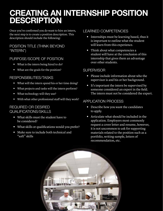## **CREATING AN INTERNSHIP POSITION DESCRIPTION**

Once you've confirmed you do want to hire an intern, the next step is to create a position description. This description should include the following:

#### POSITION TITLE (THINK BEYOND "INTERN")

#### PURPOSE/SCOPE OF POSITION

- What is the intern being hired to do?
- What are the goals for the position?

#### RESPONSIBILITIES/TASKS

- What will the intern spend his or her time doing?
- What projects and tasks will the intern perform?
- What technology will they use?
- With what other professional staff will they work?

#### REQUIRED OR DESIRED QUALIFICATIONS/SKILLS

- What skills must the student have to be considered?
- What skills or qualifications would you prefer?
- Make sure to include both technical and "soft" skills

#### LEARNED COMPETENCIES

- Internships must be learning based, thus it is important to outline what the student will learn from this experience.
- Think about what competencies a student will have at the conclusion of this internship that gives them an advantage over other students.

#### **SUPERVISOR**

- Please include information about who the supervisor is and his or her background.
- It's important the intern be supervised by someone considered an expert in the field. The intern must not be considered the expert.

#### APPLICATION PROCESS

- Describe how you want the candidates to apply.
- Articulate what should be included in the application. Employers most commonly request a cover letter and resume, however, it is not uncommon to ask for supporting materials related to the position such as a portfolio, writing sample, letters of recommendation, etc.

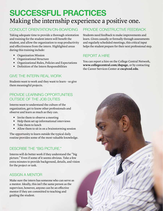### **SUCCESSFUL PRACTICES** Making the internship experience a positive one.

#### CONDUCT ORIENTATION/ON-BOARDING

Taking adequate time to provide a thorough orientation and training for the student intern will benefit the student, and allow the organization to reap productivity and effectiveness from the intern. Highlighted areas during this training include:

- Organization Mission
- Organizational Structure
- Organizational Rules, Policies and Expectations
- Definition of the Intern Responsibilities

#### GIVE THE INTERN REAL WORK

Students want to work and they want to learn – so give them meaningful projects.

#### PROVIDE LEARNING OPPORTUNITIES OUTSIDE OF THE JOB DUTIES

Interns want to understand the culture of the organization, get to know other professionals and observe and learn as much as they can.

- Invite them to observe a meeting
- Help them set up informational interviews
- Take them to lunch
- Allow them to sit in on a brainstorming session

The opportunity to learn outside the typical daily routine provides some of the most valuable knowledge.

#### DESCRIBE THE "BIG PICTURE."

Interns will do better work if they understand the "big picture." Even if some of it seems obvious. Take a few extra minutes to provide background, details, and vision for the project or task.

#### ASSIGN A MENTOR

Make sure the intern has someone who can serve as a mentor. Ideally, this isn't the same person as the supervisor, however, anyone can be an effective mentor if they are committed to teaching and guiding the student.

#### PROVIDE CONSTRUCTIVE FEEDBACK

Students need feedback to make improvements and learn. Given casually or formally through assessments and regularly scheduled meetings, this critical input helps the student prepare for their next professional step.

#### REPORT A HIRE

You can report a hire on the College Central Network, **www.collegecentral.com/dupage**, or by contacting the Career Services Center at **csc@cod.edu**.